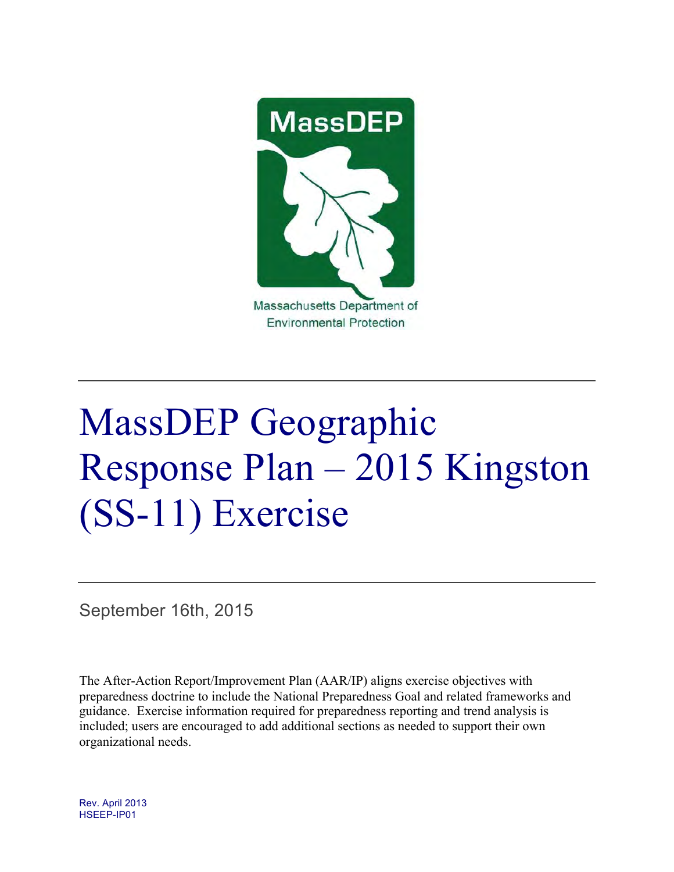

# MassDEP Geographic Response Plan – 2015 Kingston (SS-11) Exercise

September 16th, 2015

The After-Action Report/Improvement Plan (AAR/IP) aligns exercise objectives with preparedness doctrine to include the National Preparedness Goal and related frameworks and guidance. Exercise information required for preparedness reporting and trend analysis is included; users are encouraged to add additional sections as needed to support their own organizational needs.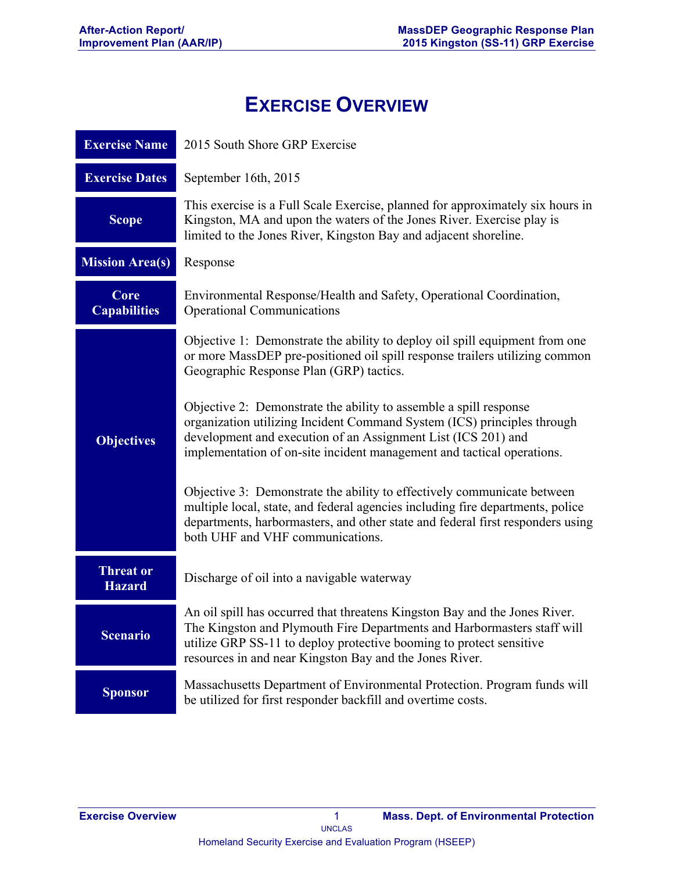# **EXERCISE OVERVIEW**

| <b>Exercise Name</b>              | 2015 South Shore GRP Exercise                                                                                                                                                                                                                                                           |  |  |  |  |
|-----------------------------------|-----------------------------------------------------------------------------------------------------------------------------------------------------------------------------------------------------------------------------------------------------------------------------------------|--|--|--|--|
| <b>Exercise Dates</b>             | September 16th, 2015                                                                                                                                                                                                                                                                    |  |  |  |  |
| <b>Scope</b>                      | This exercise is a Full Scale Exercise, planned for approximately six hours in<br>Kingston, MA and upon the waters of the Jones River. Exercise play is<br>limited to the Jones River, Kingston Bay and adjacent shoreline.                                                             |  |  |  |  |
| <b>Mission Area(s)</b>            | Response                                                                                                                                                                                                                                                                                |  |  |  |  |
| Core<br><b>Capabilities</b>       | Environmental Response/Health and Safety, Operational Coordination,<br><b>Operational Communications</b>                                                                                                                                                                                |  |  |  |  |
|                                   | Objective 1: Demonstrate the ability to deploy oil spill equipment from one<br>or more MassDEP pre-positioned oil spill response trailers utilizing common<br>Geographic Response Plan (GRP) tactics.                                                                                   |  |  |  |  |
| <b>Objectives</b>                 | Objective 2: Demonstrate the ability to assemble a spill response<br>organization utilizing Incident Command System (ICS) principles through<br>development and execution of an Assignment List (ICS 201) and<br>implementation of on-site incident management and tactical operations. |  |  |  |  |
|                                   | Objective 3: Demonstrate the ability to effectively communicate between<br>multiple local, state, and federal agencies including fire departments, police<br>departments, harbormasters, and other state and federal first responders using<br>both UHF and VHF communications.         |  |  |  |  |
| <b>Threat or</b><br><b>Hazard</b> | Discharge of oil into a navigable waterway                                                                                                                                                                                                                                              |  |  |  |  |
| <b>Scenario</b>                   | An oil spill has occurred that threatens Kingston Bay and the Jones River.<br>The Kingston and Plymouth Fire Departments and Harbormasters staff will<br>utilize GRP SS-11 to deploy protective booming to protect sensitive<br>resources in and near Kingston Bay and the Jones River. |  |  |  |  |
| <b>Sponsor</b>                    | Massachusetts Department of Environmental Protection. Program funds will<br>be utilized for first responder backfill and overtime costs.                                                                                                                                                |  |  |  |  |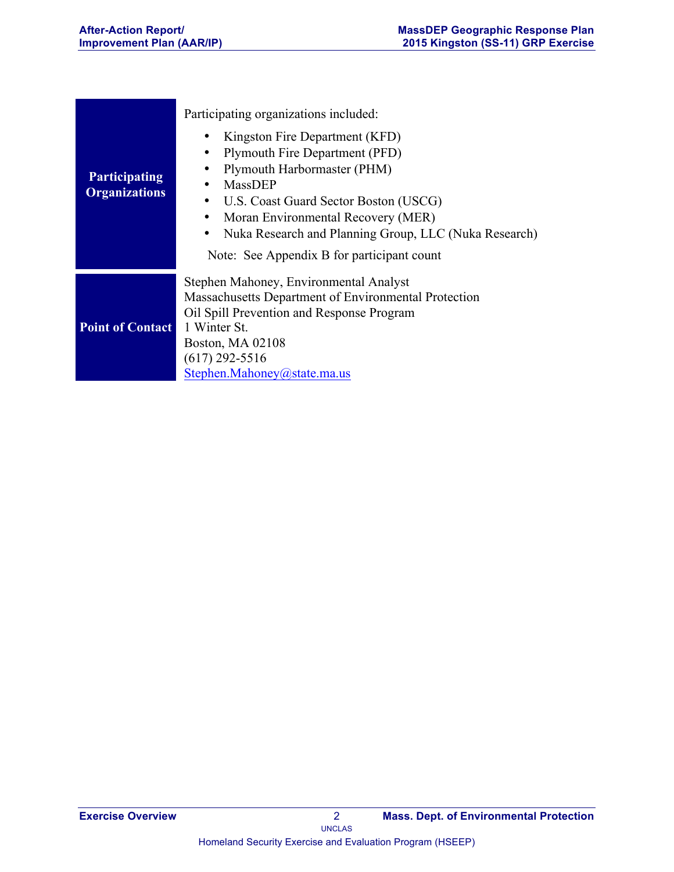|                         | Participating organizations included:                              |  |  |  |  |
|-------------------------|--------------------------------------------------------------------|--|--|--|--|
|                         | Kingston Fire Department (KFD)<br>Plymouth Fire Department (PFD)   |  |  |  |  |
| <b>Participating</b>    | Plymouth Harbormaster (PHM)                                        |  |  |  |  |
| <b>Organizations</b>    | MassDEP<br>U.S. Coast Guard Sector Boston (USCG)<br>$\bullet$      |  |  |  |  |
|                         | Moran Environmental Recovery (MER)                                 |  |  |  |  |
|                         | Nuka Research and Planning Group, LLC (Nuka Research)<br>$\bullet$ |  |  |  |  |
|                         | Note: See Appendix B for participant count                         |  |  |  |  |
|                         | Stephen Mahoney, Environmental Analyst                             |  |  |  |  |
|                         | Massachusetts Department of Environmental Protection               |  |  |  |  |
|                         | Oil Spill Prevention and Response Program                          |  |  |  |  |
| <b>Point of Contact</b> | 1 Winter St.                                                       |  |  |  |  |
|                         | Boston, MA 02108                                                   |  |  |  |  |
|                         | $(617)$ 292-5516                                                   |  |  |  |  |
|                         | Stephen.Mahoney@state.ma.us                                        |  |  |  |  |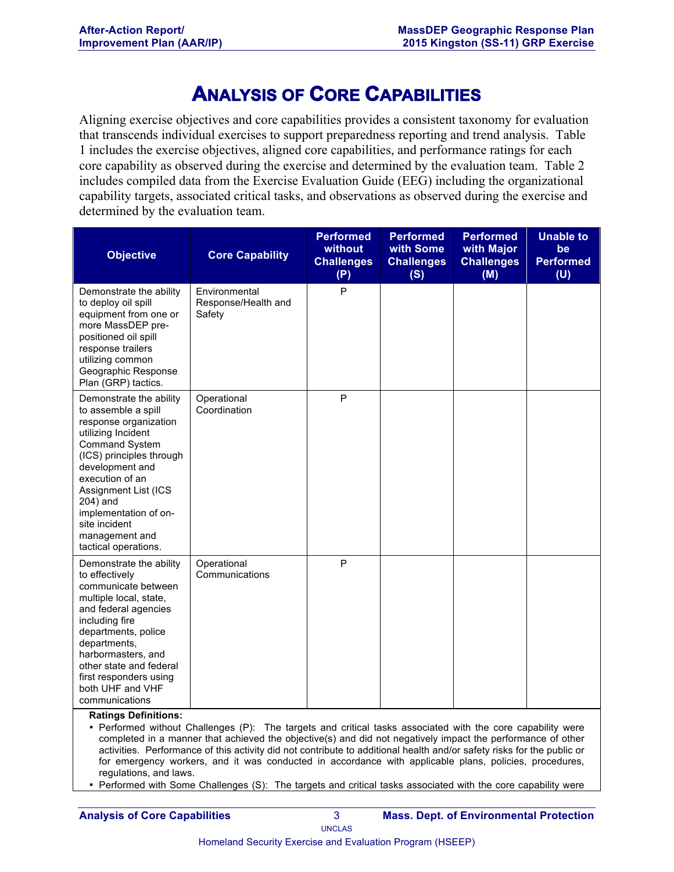## **ANALYSIS OF CORE CAPABILITIES**

Aligning exercise objectives and core capabilities provides a consistent taxonomy for evaluation that transcends individual exercises to support preparedness reporting and trend analysis. Table 1 includes the exercise objectives, aligned core capabilities, and performance ratings for each core capability as observed during the exercise and determined by the evaluation team. Table 2 includes compiled data from the Exercise Evaluation Guide (EEG) including the organizational capability targets, associated critical tasks, and observations as observed during the exercise and determined by the evaluation team.

| <b>Objective</b>                                                                                                                                                                                                                                                                                                 | <b>Core Capability</b>                         | <b>Performed</b><br>without<br><b>Challenges</b><br>(P) | <b>Performed</b><br>with Some<br><b>Challenges</b><br>(S) | <b>Performed</b><br>with Major<br><b>Challenges</b><br>(M) | <b>Unable to</b><br>be<br><b>Performed</b><br>(U) |
|------------------------------------------------------------------------------------------------------------------------------------------------------------------------------------------------------------------------------------------------------------------------------------------------------------------|------------------------------------------------|---------------------------------------------------------|-----------------------------------------------------------|------------------------------------------------------------|---------------------------------------------------|
| Demonstrate the ability<br>to deploy oil spill<br>equipment from one or<br>more MassDEP pre-<br>positioned oil spill<br>response trailers<br>utilizing common<br>Geographic Response<br>Plan (GRP) tactics.                                                                                                      | Environmental<br>Response/Health and<br>Safety | P                                                       |                                                           |                                                            |                                                   |
| Demonstrate the ability<br>to assemble a spill<br>response organization<br>utilizing Incident<br><b>Command System</b><br>(ICS) principles through<br>development and<br>execution of an<br>Assignment List (ICS<br>204) and<br>implementation of on-<br>site incident<br>management and<br>tactical operations. | Operational<br>Coordination                    | P                                                       |                                                           |                                                            |                                                   |
| Demonstrate the ability<br>to effectively<br>communicate between<br>multiple local, state,<br>and federal agencies<br>including fire<br>departments, police<br>departments,<br>harbormasters, and<br>other state and federal<br>first responders using<br>both UHF and VHF<br>communications                     | Operational<br>Communications                  | P                                                       |                                                           |                                                            |                                                   |

**Ratings Definitions:**

• Performed without Challenges (P): The targets and critical tasks associated with the core capability were completed in a manner that achieved the objective(s) and did not negatively impact the performance of other activities. Performance of this activity did not contribute to additional health and/or safety risks for the public or for emergency workers, and it was conducted in accordance with applicable plans, policies, procedures, regulations, and laws.

• Performed with Some Challenges (S): The targets and critical tasks associated with the core capability were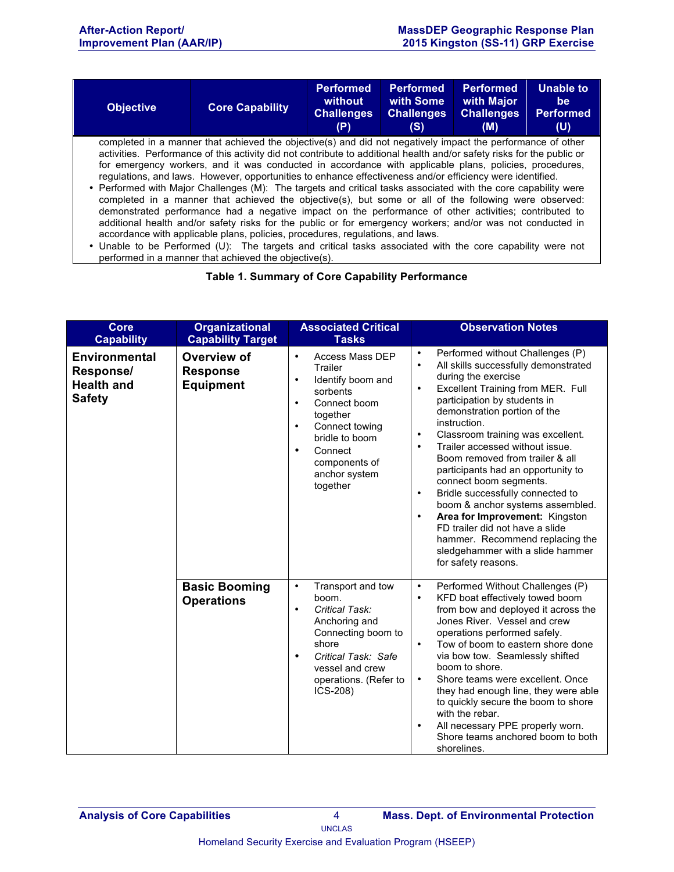| <b>Objective</b> | <b>Core Capability</b>                                                                                                                                                                                                                                                                                                                                                                                                                                                                                                                                                                                                                                                                                                                                                                                                                                                                                                                                                                           | <b>Performed</b><br>without<br><b>Challenges</b><br>(P) | <b>Performed</b><br>with Some<br><b>Challenges</b><br>(S) | <b>Performed</b><br>with Major<br><b>Challenges</b><br>(M) | <b>Unable to</b><br>be:<br><b>Performed</b><br>(U) |
|------------------|--------------------------------------------------------------------------------------------------------------------------------------------------------------------------------------------------------------------------------------------------------------------------------------------------------------------------------------------------------------------------------------------------------------------------------------------------------------------------------------------------------------------------------------------------------------------------------------------------------------------------------------------------------------------------------------------------------------------------------------------------------------------------------------------------------------------------------------------------------------------------------------------------------------------------------------------------------------------------------------------------|---------------------------------------------------------|-----------------------------------------------------------|------------------------------------------------------------|----------------------------------------------------|
|                  | completed in a manner that achieved the objective(s) and did not negatively impact the performance of other<br>activities. Performance of this activity did not contribute to additional health and/or safety risks for the public or<br>for emergency workers, and it was conducted in accordance with applicable plans, policies, procedures,<br>regulations, and laws. However, opportunities to enhance effectiveness and/or efficiency were identified.<br>• Performed with Major Challenges (M): The targets and critical tasks associated with the core capability were<br>completed in a manner that achieved the objective(s), but some or all of the following were observed:<br>demonstrated performance had a negative impact on the performance of other activities; contributed to<br>additional health and/or safety risks for the public or for emergency workers; and/or was not conducted in<br>accordance with applicable plans, policies, procedures, regulations, and laws. |                                                         |                                                           |                                                            |                                                    |

• Unable to be Performed (U): The targets and critical tasks associated with the core capability were not performed in a manner that achieved the objective(s).

#### **Table 1. Summary of Core Capability Performance**

| <b>Core</b><br><b>Capability</b>                                        | <b>Organizational</b><br><b>Capability Target</b>  | <b>Associated Critical</b><br><b>Tasks</b>                                                                                                                                                                                                           | <b>Observation Notes</b>                                                                                                                                                                                                                                                                                                                                                                                                                                                                                                                                                                                                                                                                                                              |
|-------------------------------------------------------------------------|----------------------------------------------------|------------------------------------------------------------------------------------------------------------------------------------------------------------------------------------------------------------------------------------------------------|---------------------------------------------------------------------------------------------------------------------------------------------------------------------------------------------------------------------------------------------------------------------------------------------------------------------------------------------------------------------------------------------------------------------------------------------------------------------------------------------------------------------------------------------------------------------------------------------------------------------------------------------------------------------------------------------------------------------------------------|
| <b>Environmental</b><br>Response/<br><b>Health and</b><br><b>Safety</b> | Overview of<br><b>Response</b><br><b>Equipment</b> | <b>Access Mass DEP</b><br>$\bullet$<br>Trailer<br>Identify boom and<br>٠<br>sorbents<br>Connect boom<br>$\bullet$<br>together<br>Connect towing<br>$\bullet$<br>bridle to boom<br>Connect<br>$\bullet$<br>components of<br>anchor system<br>together | Performed without Challenges (P)<br>$\bullet$<br>All skills successfully demonstrated<br>$\bullet$<br>during the exercise<br>Excellent Training from MER. Full<br>$\bullet$<br>participation by students in<br>demonstration portion of the<br>instruction.<br>Classroom training was excellent.<br>$\bullet$<br>Trailer accessed without issue.<br>$\bullet$<br>Boom removed from trailer & all<br>participants had an opportunity to<br>connect boom segments.<br>Bridle successfully connected to<br>$\bullet$<br>boom & anchor systems assembled.<br>Area for Improvement: Kingston<br>$\bullet$<br>FD trailer did not have a slide<br>hammer. Recommend replacing the<br>sledgehammer with a slide hammer<br>for safety reasons. |
|                                                                         | <b>Basic Booming</b><br><b>Operations</b>          | Transport and tow<br>$\bullet$<br>boom.<br>Critical Task:<br>$\bullet$<br>Anchoring and<br>Connecting boom to<br>shore<br>Critical Task: Safe<br>$\bullet$<br>vessel and crew<br>operations. (Refer to<br>ICS-208)                                   | Performed Without Challenges (P)<br>$\bullet$<br>KFD boat effectively towed boom<br>$\bullet$<br>from bow and deployed it across the<br>Jones River. Vessel and crew<br>operations performed safely.<br>Tow of boom to eastern shore done<br>$\bullet$<br>via bow tow. Seamlessly shifted<br>boom to shore.<br>Shore teams were excellent. Once<br>$\bullet$<br>they had enough line, they were able<br>to quickly secure the boom to shore<br>with the rebar.<br>All necessary PPE properly worn.<br>$\bullet$<br>Shore teams anchored boom to both<br>shorelines.                                                                                                                                                                   |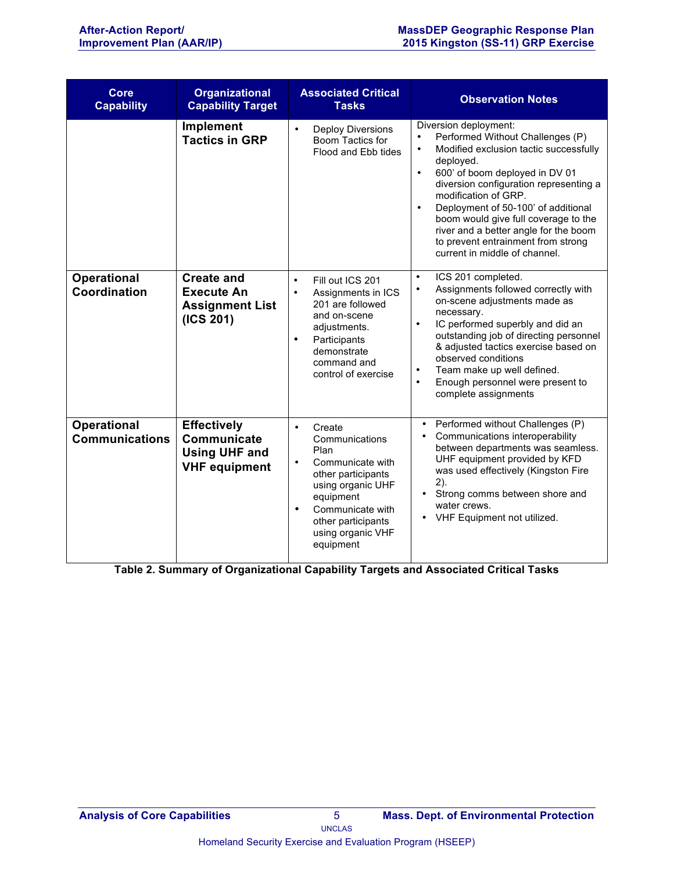| <b>Core</b><br><b>Capability</b>            | <b>Organizational</b><br><b>Capability Target</b>                                 | <b>Associated Critical</b><br><b>Tasks</b>                                                                                                                                                                                      | <b>Observation Notes</b>                                                                                                                                                                                                                                                                                                                                                                                                                      |
|---------------------------------------------|-----------------------------------------------------------------------------------|---------------------------------------------------------------------------------------------------------------------------------------------------------------------------------------------------------------------------------|-----------------------------------------------------------------------------------------------------------------------------------------------------------------------------------------------------------------------------------------------------------------------------------------------------------------------------------------------------------------------------------------------------------------------------------------------|
|                                             | <b>Implement</b><br><b>Tactics in GRP</b>                                         | <b>Deploy Diversions</b><br>$\bullet$<br>Boom Tactics for<br>Flood and Ebb tides                                                                                                                                                | Diversion deployment:<br>Performed Without Challenges (P)<br>Modified exclusion tactic successfully<br>$\bullet$<br>deployed.<br>600' of boom deployed in DV 01<br>$\bullet$<br>diversion configuration representing a<br>modification of GRP.<br>Deployment of 50-100' of additional<br>boom would give full coverage to the<br>river and a better angle for the boom<br>to prevent entrainment from strong<br>current in middle of channel. |
| <b>Operational</b><br><b>Coordination</b>   | <b>Create and</b><br><b>Execute An</b><br><b>Assignment List</b><br>(ICS 201)     | Fill out ICS 201<br>$\bullet$<br>Assignments in ICS<br>$\bullet$<br>201 are followed<br>and on-scene<br>adjustments.<br>Participants<br>$\bullet$<br>demonstrate<br>command and<br>control of exercise                          | ICS 201 completed.<br>$\bullet$<br>Assignments followed correctly with<br>$\bullet$<br>on-scene adjustments made as<br>necessary.<br>IC performed superbly and did an<br>$\bullet$<br>outstanding job of directing personnel<br>& adjusted tactics exercise based on<br>observed conditions<br>Team make up well defined.<br>$\bullet$<br>Enough personnel were present to<br>$\bullet$<br>complete assignments                               |
| <b>Operational</b><br><b>Communications</b> | <b>Effectively</b><br>Communicate<br><b>Using UHF and</b><br><b>VHF</b> equipment | $\bullet$<br>Create<br>Communications<br>Plan<br>Communicate with<br>$\bullet$<br>other participants<br>using organic UHF<br>equipment<br>Communicate with<br>$\bullet$<br>other participants<br>using organic VHF<br>equipment | Performed without Challenges (P)<br>$\bullet$<br>Communications interoperability<br>$\bullet$<br>between departments was seamless.<br>UHF equipment provided by KFD<br>was used effectively (Kingston Fire<br>2).<br>Strong comms between shore and<br>$\bullet$<br>water crews.<br>VHF Equipment not utilized.<br>$\bullet$                                                                                                                  |

**Table 2. Summary of Organizational Capability Targets and Associated Critical Tasks**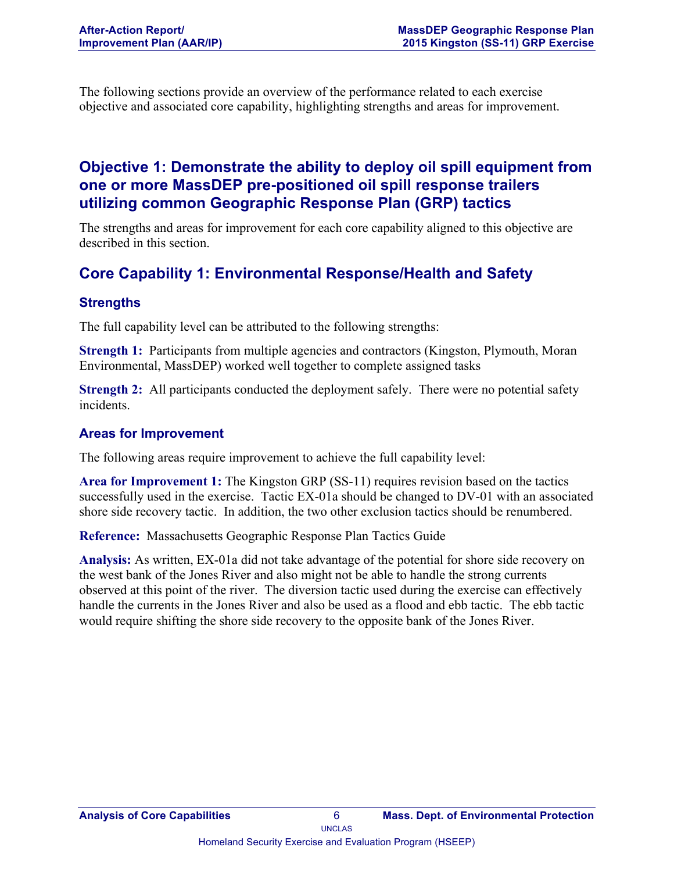The following sections provide an overview of the performance related to each exercise objective and associated core capability, highlighting strengths and areas for improvement.

#### **Objective 1: Demonstrate the ability to deploy oil spill equipment from one or more MassDEP pre-positioned oil spill response trailers utilizing common Geographic Response Plan (GRP) tactics**

The strengths and areas for improvement for each core capability aligned to this objective are described in this section.

### **Core Capability 1: Environmental Response/Health and Safety**

#### **Strengths**

The full capability level can be attributed to the following strengths:

**Strength 1:** Participants from multiple agencies and contractors (Kingston, Plymouth, Moran Environmental, MassDEP) worked well together to complete assigned tasks

**Strength 2:** All participants conducted the deployment safely. There were no potential safety incidents.

#### **Areas for Improvement**

The following areas require improvement to achieve the full capability level:

**Area for Improvement 1:** The Kingston GRP (SS-11) requires revision based on the tactics successfully used in the exercise. Tactic EX-01a should be changed to DV-01 with an associated shore side recovery tactic. In addition, the two other exclusion tactics should be renumbered.

**Reference:** Massachusetts Geographic Response Plan Tactics Guide

**Analysis:** As written, EX-01a did not take advantage of the potential for shore side recovery on the west bank of the Jones River and also might not be able to handle the strong currents observed at this point of the river. The diversion tactic used during the exercise can effectively handle the currents in the Jones River and also be used as a flood and ebb tactic. The ebb tactic would require shifting the shore side recovery to the opposite bank of the Jones River.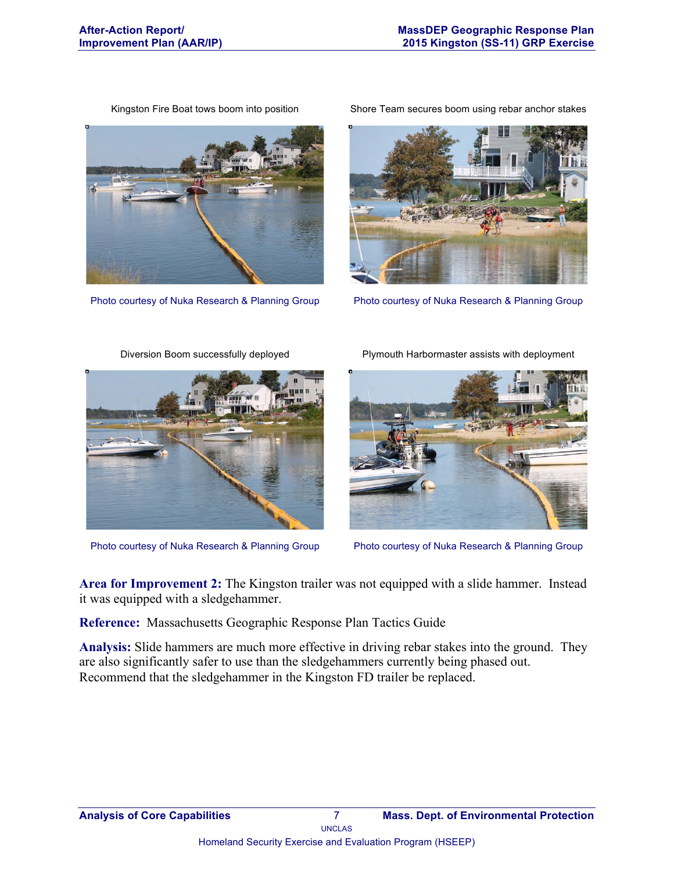

Photo courtesy of Nuka Research & Planning Group Photo courtesy of Nuka Research & Planning Group

Kingston Fire Boat tows boom into position Shore Team secures boom using rebar anchor stakes





Photo courtesy of Nuka Research & Planning Group Photo courtesy of Nuka Research & Planning Group

Diversion Boom successfully deployed Plymouth Harbormaster assists with deployment



**Area for Improvement 2:** The Kingston trailer was not equipped with a slide hammer. Instead it was equipped with a sledgehammer.

**Reference:** Massachusetts Geographic Response Plan Tactics Guide

**Analysis:** Slide hammers are much more effective in driving rebar stakes into the ground. They are also significantly safer to use than the sledgehammers currently being phased out. Recommend that the sledgehammer in the Kingston FD trailer be replaced.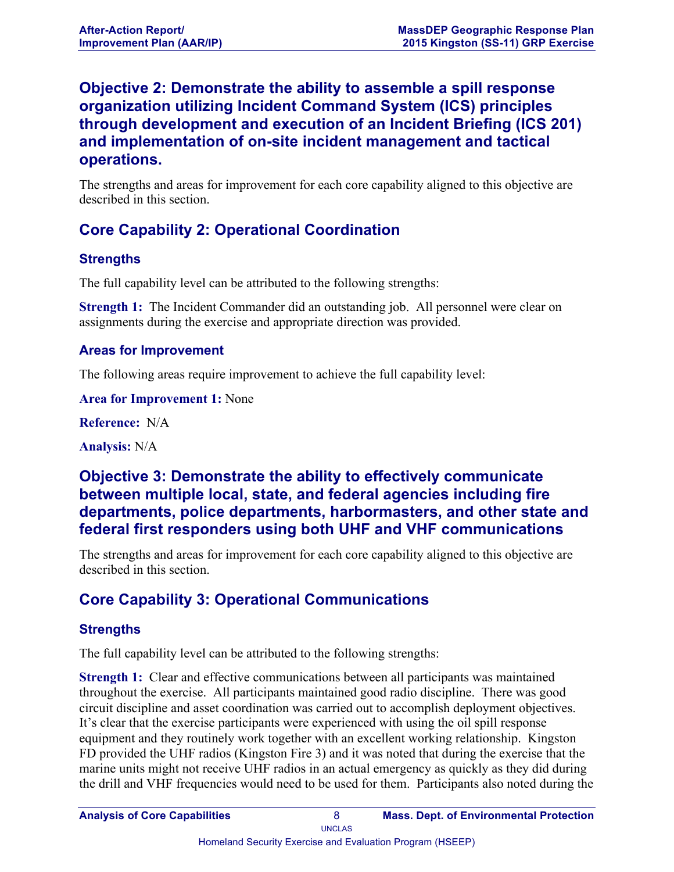#### **Objective 2: Demonstrate the ability to assemble a spill response organization utilizing Incident Command System (ICS) principles through development and execution of an Incident Briefing (ICS 201) and implementation of on-site incident management and tactical operations.**

The strengths and areas for improvement for each core capability aligned to this objective are described in this section.

## **Core Capability 2: Operational Coordination**

#### **Strengths**

The full capability level can be attributed to the following strengths:

**Strength 1:** The Incident Commander did an outstanding job. All personnel were clear on assignments during the exercise and appropriate direction was provided.

#### **Areas for Improvement**

The following areas require improvement to achieve the full capability level:

**Area for Improvement 1:** None

**Reference:** N/A

**Analysis:** N/A

### **Objective 3: Demonstrate the ability to effectively communicate between multiple local, state, and federal agencies including fire departments, police departments, harbormasters, and other state and federal first responders using both UHF and VHF communications**

The strengths and areas for improvement for each core capability aligned to this objective are described in this section.

## **Core Capability 3: Operational Communications**

#### **Strengths**

The full capability level can be attributed to the following strengths:

**Strength 1:** Clear and effective communications between all participants was maintained throughout the exercise. All participants maintained good radio discipline. There was good circuit discipline and asset coordination was carried out to accomplish deployment objectives. It's clear that the exercise participants were experienced with using the oil spill response equipment and they routinely work together with an excellent working relationship. Kingston FD provided the UHF radios (Kingston Fire 3) and it was noted that during the exercise that the marine units might not receive UHF radios in an actual emergency as quickly as they did during the drill and VHF frequencies would need to be used for them. Participants also noted during the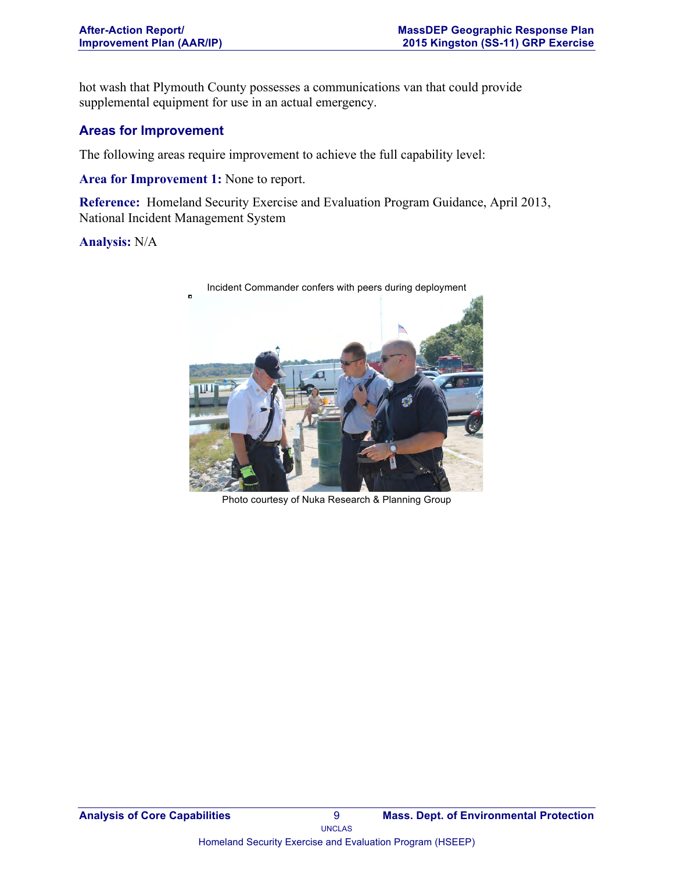hot wash that Plymouth County possesses a communications van that could provide supplemental equipment for use in an actual emergency.

#### **Areas for Improvement**

The following areas require improvement to achieve the full capability level:

**Area for Improvement 1:** None to report.

**Reference:** Homeland Security Exercise and Evaluation Program Guidance, April 2013, National Incident Management System

**Analysis:** N/A



Photo courtesy of Nuka Research & Planning Group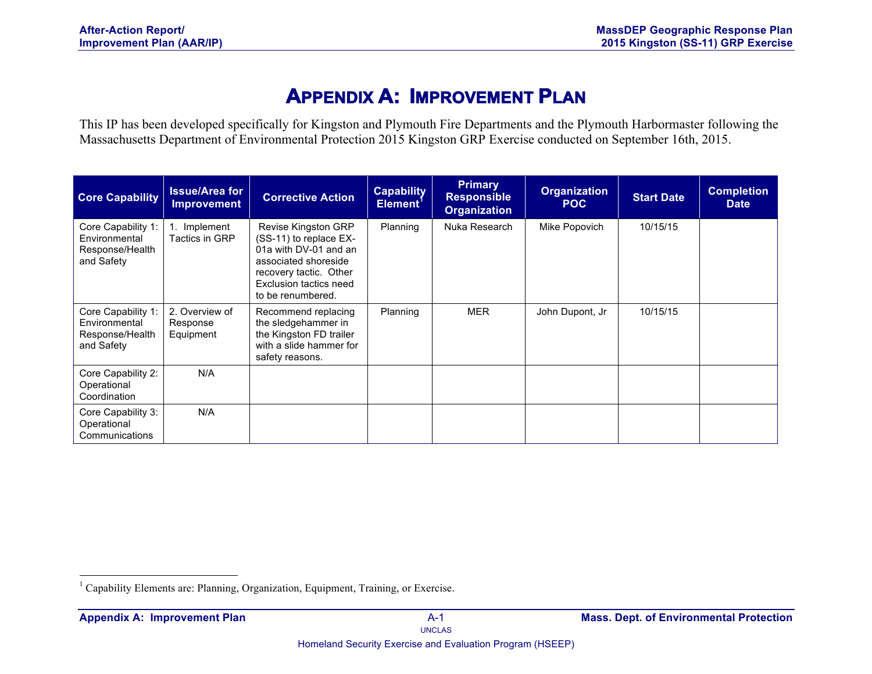## **APPENDIX A: IMPROVEMENT PLAN**

This IP has been developed specifically for Kingston and Plymouth Fire Departments and the Plymouth Harbormaster following the Massachusetts Department of Environmental Protection 2015 Kingston GRP Exercise conducted on September 16th, 2015.

| <b>Core Capability</b>                                               | <b>Issue/Area for</b><br><b>Improvement</b> | <b>Corrective Action</b>                                                                                                                                                | <b>Capability</b><br>Element <sup>1</sup> | <b>Primary</b><br><b>Responsible</b><br><b>Organization</b> | <b>Organization</b><br><b>POC</b> | <b>Start Date</b> | <b>Completion</b><br><b>Date</b> |
|----------------------------------------------------------------------|---------------------------------------------|-------------------------------------------------------------------------------------------------------------------------------------------------------------------------|-------------------------------------------|-------------------------------------------------------------|-----------------------------------|-------------------|----------------------------------|
| Core Capability 1:<br>Environmental<br>Response/Health<br>and Safety | Implement<br>Tactics in GRP                 | Revise Kingston GRP<br>(SS-11) to replace EX-<br>01a with DV-01 and an<br>associated shoreside<br>recovery tactic. Other<br>Exclusion tactics need<br>to be renumbered. | Planning                                  | Nuka Research                                               | Mike Popovich                     | 10/15/15          |                                  |
| Core Capability 1:<br>Environmental<br>Response/Health<br>and Safety | 2. Overview of<br>Response<br>Equipment     | Recommend replacing<br>the sledgehammer in<br>the Kingston FD trailer<br>with a slide hammer for<br>safety reasons.                                                     | Planning                                  | <b>MER</b>                                                  | John Dupont, Jr                   | 10/15/15          |                                  |
| Core Capability 2:<br>Operational<br>Coordination                    | N/A                                         |                                                                                                                                                                         |                                           |                                                             |                                   |                   |                                  |
| Core Capability 3:<br>Operational<br>Communications                  | N/A                                         |                                                                                                                                                                         |                                           |                                                             |                                   |                   |                                  |

<sup>&</sup>lt;sup>1</sup> Capability Elements are: Planning, Organization, Equipment, Training, or Exercise.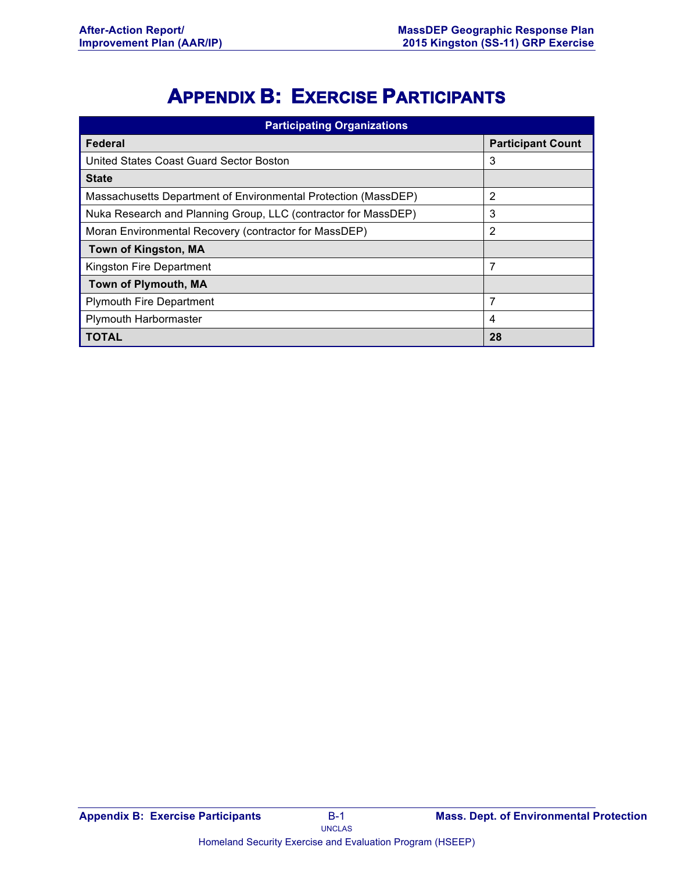# **APPENDIX B: EXERCISE PARTICIPANTS**

| <b>Participating Organizations</b>                             |                          |  |  |  |
|----------------------------------------------------------------|--------------------------|--|--|--|
| <b>Federal</b>                                                 | <b>Participant Count</b> |  |  |  |
| United States Coast Guard Sector Boston                        | 3                        |  |  |  |
| <b>State</b>                                                   |                          |  |  |  |
| Massachusetts Department of Environmental Protection (MassDEP) | 2                        |  |  |  |
| Nuka Research and Planning Group, LLC (contractor for MassDEP) | 3                        |  |  |  |
| Moran Environmental Recovery (contractor for MassDEP)          | $\overline{2}$           |  |  |  |
| Town of Kingston, MA                                           |                          |  |  |  |
| Kingston Fire Department                                       | 7                        |  |  |  |
| Town of Plymouth, MA                                           |                          |  |  |  |
| <b>Plymouth Fire Department</b>                                | 7                        |  |  |  |
| <b>Plymouth Harbormaster</b>                                   | 4                        |  |  |  |
| TOTAL                                                          | 28                       |  |  |  |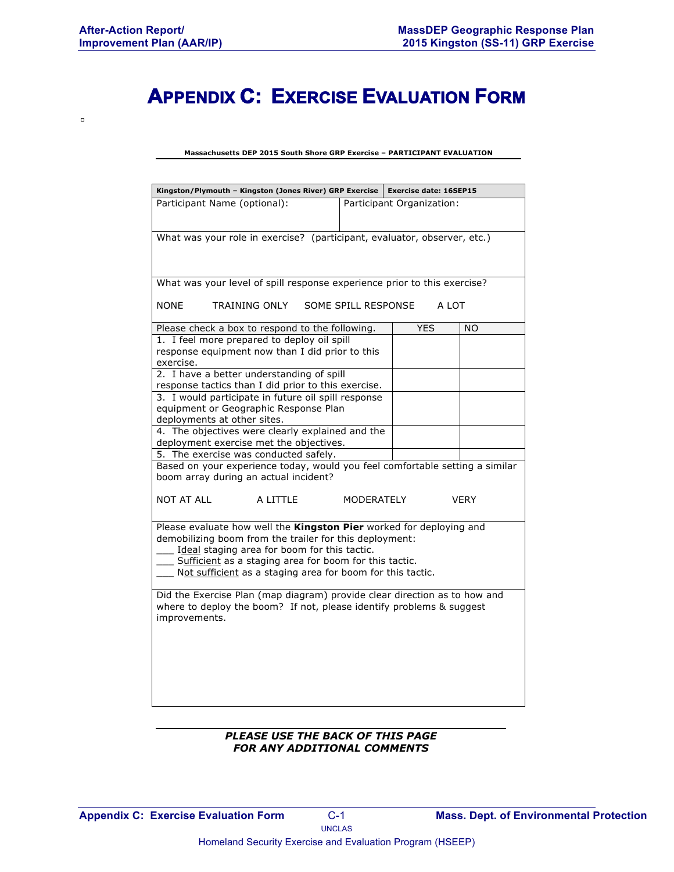$\blacksquare$ 

## **APPENDIX C: EXERCISE EVALUATION FORM**

#### **Massachusetts DEP 2015 South Shore GRP Exercise – PARTICIPANT EVALUATION**

| Kingston/Plymouth - Kingston (Jones River) GRP Exercise                                                                                                            |                                                        |                     | <b>Exercise date: 16SEP15</b> |           |  |
|--------------------------------------------------------------------------------------------------------------------------------------------------------------------|--------------------------------------------------------|---------------------|-------------------------------|-----------|--|
| Participant Name (optional):<br>Participant Organization:                                                                                                          |                                                        |                     |                               |           |  |
|                                                                                                                                                                    |                                                        |                     |                               |           |  |
| What was your role in exercise? (participant, evaluator, observer, etc.)                                                                                           |                                                        |                     |                               |           |  |
| What was your level of spill response experience prior to this exercise?                                                                                           |                                                        |                     |                               |           |  |
| <b>NONE</b>                                                                                                                                                        | TRAINING ONLY                                          | SOME SPILL RESPONSE | A LOT                         |           |  |
| Please check a box to respond to the following.                                                                                                                    |                                                        |                     | <b>YES</b>                    | <b>NO</b> |  |
| 1. I feel more prepared to deploy oil spill<br>response equipment now than I did prior to this<br>exercise.                                                        |                                                        |                     |                               |           |  |
| 2. I have a better understanding of spill<br>response tactics than I did prior to this exercise.                                                                   |                                                        |                     |                               |           |  |
| 3. I would participate in future oil spill response                                                                                                                |                                                        |                     |                               |           |  |
| equipment or Geographic Response Plan<br>deployments at other sites.                                                                                               |                                                        |                     |                               |           |  |
| 4. The objectives were clearly explained and the<br>deployment exercise met the objectives.                                                                        |                                                        |                     |                               |           |  |
| 5. The exercise was conducted safely.                                                                                                                              |                                                        |                     |                               |           |  |
| Based on your experience today, would you feel comfortable setting a similar<br>boom array during an actual incident?                                              |                                                        |                     |                               |           |  |
| <b>NOT AT ALL</b>                                                                                                                                                  | MODERATELY<br>A LITTLE<br><b>VERY</b>                  |                     |                               |           |  |
| Please evaluate how well the Kingston Pier worked for deploying and<br>demobilizing boom from the trailer for this deployment:                                     |                                                        |                     |                               |           |  |
|                                                                                                                                                                    | Ideal staging area for boom for this tactic.           |                     |                               |           |  |
|                                                                                                                                                                    | Sufficient as a staging area for boom for this tactic. |                     |                               |           |  |
| Not sufficient as a staging area for boom for this tactic.                                                                                                         |                                                        |                     |                               |           |  |
| Did the Exercise Plan (map diagram) provide clear direction as to how and<br>where to deploy the boom? If not, please identify problems & suggest<br>improvements. |                                                        |                     |                               |           |  |
|                                                                                                                                                                    |                                                        |                     |                               |           |  |
|                                                                                                                                                                    |                                                        |                     |                               |           |  |
|                                                                                                                                                                    |                                                        |                     |                               |           |  |
|                                                                                                                                                                    |                                                        |                     |                               |           |  |
|                                                                                                                                                                    |                                                        |                     |                               |           |  |

#### *PLEASE USE THE BACK OF THIS PAGE FOR ANY ADDITIONAL COMMENTS*